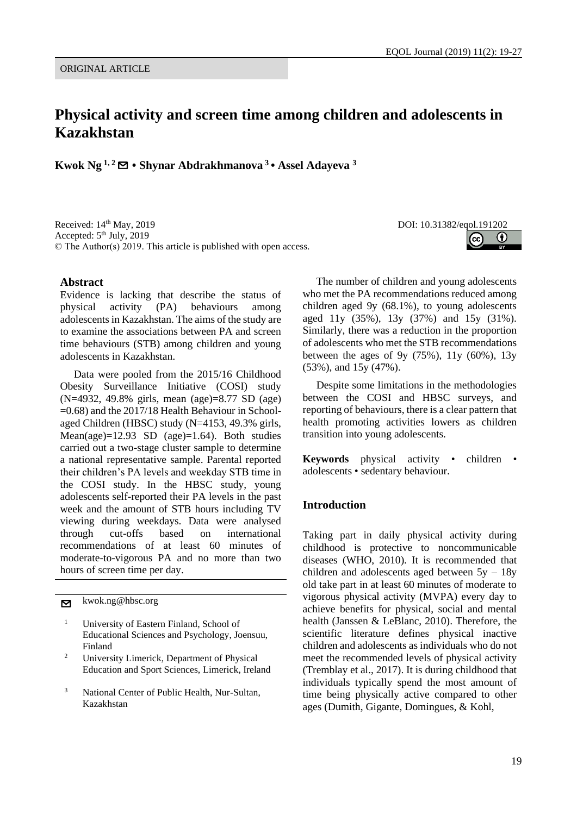# **Physical activity and screen time among children and adolescents in Kazakhstan**

**Kwok Ng 1, 2**✉ **• Shynar Abdrakhmanova <sup>3</sup> • Assel Adayeva <sup>3</sup>**

Received: 14<sup>th</sup> May, 2019 DOI: 10.31382/eqol.191202 Accepted: 5<sup>th</sup> July, 2019 © The Author(s) 2019. This article is published with open access.

#### **Abstract**

Evidence is lacking that describe the status of physical activity (PA) behaviours among adolescents in Kazakhstan. The aims of the study are to examine the associations between PA and screen time behaviours (STB) among children and young adolescents in Kazakhstan.

Data were pooled from the 2015/16 Childhood Obesity Surveillance Initiative (COSI) study (N=4932, 49.8% girls, mean (age)=8.77 SD (age) =0.68) and the 2017/18 Health Behaviour in Schoolaged Children (HBSC) study (N=4153, 49.3% girls, Mean(age)= $12.93$  SD (age)= $1.64$ ). Both studies carried out a two-stage cluster sample to determine a national representative sample. Parental reported their children's PA levels and weekday STB time in the COSI study. In the HBSC study, young adolescents self-reported their PA levels in the past week and the amount of STB hours including TV viewing during weekdays. Data were analysed through cut-offs based on international recommendations of at least 60 minutes of moderate-to-vigorous PA and no more than two hours of screen time per day.

✉ kwok.ng@hbsc.org

- <sup>1</sup> University of Eastern Finland, School of Educational Sciences and Psychology, Joensuu, Finland
- <sup>2</sup> University Limerick, Department of Physical Education and Sport Sciences, Limerick, Ireland
- <sup>3</sup> National Center of Public Health, Nur-Sultan, Kazakhstan

G)

The number of children and young adolescents who met the PA recommendations reduced among children aged 9y (68.1%), to young adolescents aged 11y (35%), 13y (37%) and 15y (31%). Similarly, there was a reduction in the proportion of adolescents who met the STB recommendations between the ages of 9y  $(75%)$ , 11y  $(60%)$ , 13y (53%), and 15y (47%).

Despite some limitations in the methodologies between the COSI and HBSC surveys, and reporting of behaviours, there is a clear pattern that health promoting activities lowers as children transition into young adolescents.

**Keywords** physical activity • children • adolescents • sedentary behaviour.

#### **Introduction**

Taking part in daily physical activity during childhood is protective to noncommunicable diseases (WHO, 2010). It is recommended that children and adolescents aged between  $5y - 18y$ old take part in at least 60 minutes of moderate to vigorous physical activity (MVPA) every day to achieve benefits for physical, social and mental health (Janssen & LeBlanc, 2010). Therefore, the scientific literature defines physical inactive children and adolescents as individuals who do not meet the recommended levels of physical activity (Tremblay et al., 2017). It is during childhood that individuals typically spend the most amount of time being physically active compared to other ages (Dumith, Gigante, Domingues, & Kohl,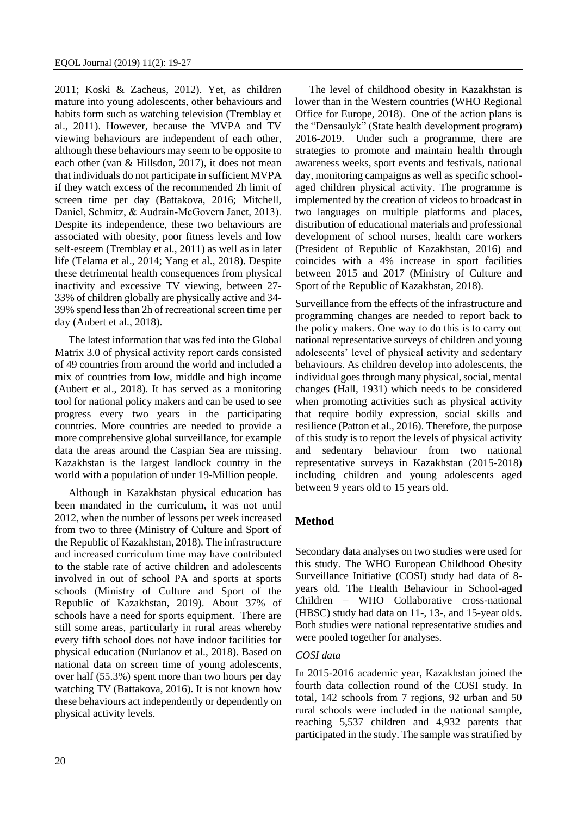2011; Koski & Zacheus, 2012). Yet, as children mature into young adolescents, other behaviours and habits form such as watching television (Tremblay et al., 2011). However, because the MVPA and TV viewing behaviours are independent of each other, although these behaviours may seem to be opposite to each other (van & Hillsdon, 2017), it does not mean that individuals do not participate in sufficient MVPA if they watch excess of the recommended 2h limit of screen time per day (Battakova, 2016; Mitchell, Daniel, Schmitz, & Audrain‐McGovern Janet, 2013). Despite its independence, these two behaviours are associated with obesity, poor fitness levels and low self-esteem (Tremblay et al., 2011) as well as in later life (Telama et al., 2014; Yang et al., 2018). Despite these detrimental health consequences from physical inactivity and excessive TV viewing, between 27- 33% of children globally are physically active and 34- 39% spend less than 2h of recreational screen time per day (Aubert et al., 2018).

The latest information that was fed into the Global Matrix 3.0 of physical activity report cards consisted of 49 countries from around the world and included a mix of countries from low, middle and high income (Aubert et al., 2018). It has served as a monitoring tool for national policy makers and can be used to see progress every two years in the participating countries. More countries are needed to provide a more comprehensive global surveillance, for example data the areas around the Caspian Sea are missing. Kazakhstan is the largest landlock country in the world with a population of under 19-Million people.

Although in Kazakhstan physical education has been mandated in the curriculum, it was not until 2012, when the number of lessons per week increased from two to three (Ministry of Culture and Sport of the Republic of Kazakhstan, 2018). The infrastructure and increased curriculum time may have contributed to the stable rate of active children and adolescents involved in out of school PA and sports at sports schools (Ministry of Culture and Sport of the Republic of Kazakhstan, 2019). About 37% of schools have a need for sports equipment. There are still some areas, particularly in rural areas whereby every fifth school does not have indoor facilities for physical education (Nurlanov et al., 2018). Based on national data on screen time of young adolescents, over half (55.3%) spent more than two hours per day watching TV (Battakova, 2016). It is not known how these behaviours act independently or dependently on physical activity levels.

The level of childhood obesity in Kazakhstan is lower than in the Western countries (WHO Regional Office for Europe, 2018). One of the action plans is the "Densaulyk" (State health development program) 2016-2019. Under such a programme, there are strategies to promote and maintain health through awareness weeks, sport events and festivals, national day, monitoring campaigns as well as specific schoolaged children physical activity. The programme is implemented by the creation of videos to broadcast in two languages on multiple platforms and places, distribution of educational materials and professional development of school nurses, health care workers (President of Republic of Kazakhstan, 2016) and coincides with a 4% increase in sport facilities between 2015 and 2017 (Ministry of Culture and Sport of the Republic of Kazakhstan, 2018).

Surveillance from the effects of the infrastructure and programming changes are needed to report back to the policy makers. One way to do this is to carry out national representative surveys of children and young adolescents' level of physical activity and sedentary behaviours. As children develop into adolescents, the individual goes through many physical, social, mental changes (Hall, 1931) which needs to be considered when promoting activities such as physical activity that require bodily expression, social skills and resilience (Patton et al., 2016). Therefore, the purpose of this study is to report the levels of physical activity and sedentary behaviour from two national representative surveys in Kazakhstan (2015-2018) including children and young adolescents aged between 9 years old to 15 years old.

## **Method**

Secondary data analyses on two studies were used for this study. The WHO European Childhood Obesity Surveillance Initiative (COSI) study had data of 8 years old. The Health Behaviour in School-aged Children – WHO Collaborative cross-national (HBSC) study had data on 11-, 13-, and 15-year olds. Both studies were national representative studies and were pooled together for analyses.

### *COSI data*

In 2015-2016 academic year, Kazakhstan joined the fourth data collection round of the COSI study. In total, 142 schools from 7 regions, 92 urban and 50 rural schools were included in the national sample, reaching 5,537 children and 4,932 parents that participated in the study. The sample was stratified by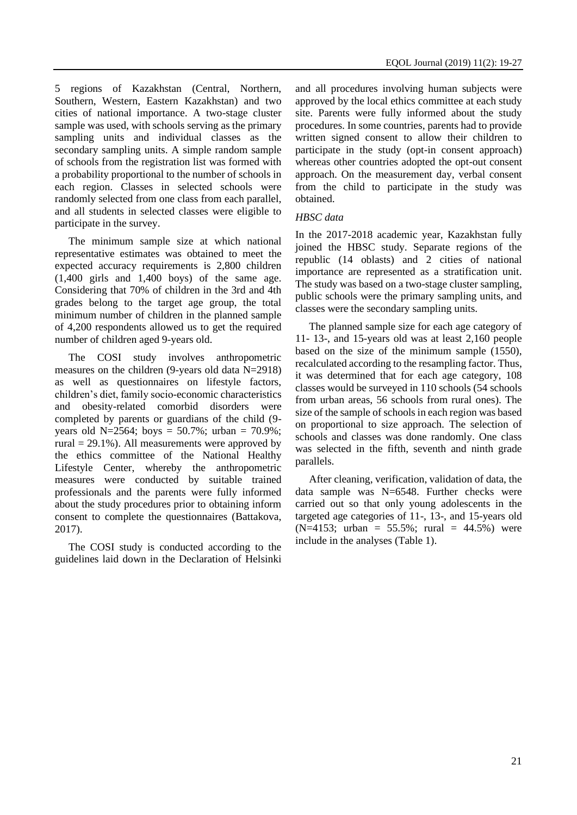5 regions of Kazakhstan (Central, Northern, Southern, Western, Eastern Kazakhstan) and two cities of national importance. A two-stage cluster sample was used, with schools serving as the primary sampling units and individual classes as the secondary sampling units. A simple random sample of schools from the registration list was formed with a probability proportional to the number of schools in each region. Classes in selected schools were randomly selected from one class from each parallel, and all students in selected classes were eligible to participate in the survey.

The minimum sample size at which national representative estimates was obtained to meet the expected accuracy requirements is 2,800 children (1,400 girls and 1,400 boys) of the same age. Considering that 70% of children in the 3rd and 4th grades belong to the target age group, the total minimum number of children in the planned sample of 4,200 respondents allowed us to get the required number of children aged 9-years old.

The COSI study involves anthropometric measures on the children (9-years old data N=2918) as well as questionnaires on lifestyle factors, children's diet, family socio-economic characteristics and obesity-related comorbid disorders were completed by parents or guardians of the child (9 years old N=2564; boys =  $50.7\%$ ; urban =  $70.9\%$ ; rural = 29.1%). All measurements were approved by the ethics committee of the National Healthy Lifestyle Center, whereby the anthropometric measures were conducted by suitable trained professionals and the parents were fully informed about the study procedures prior to obtaining inform consent to complete the questionnaires (Battakova, 2017).

The COSI study is conducted according to the guidelines laid down in the Declaration of Helsinki

and all procedures involving human subjects were approved by the local ethics committee at each study site. Parents were fully informed about the study procedures. In some countries, parents had to provide written signed consent to allow their children to participate in the study (opt-in consent approach) whereas other countries adopted the opt-out consent approach. On the measurement day, verbal consent from the child to participate in the study was obtained.

#### *HBSC data*

In the 2017-2018 academic year, Kazakhstan fully joined the HBSC study. Separate regions of the republic (14 oblasts) and 2 cities of national importance are represented as a stratification unit. The study was based on a two-stage cluster sampling, public schools were the primary sampling units, and classes were the secondary sampling units.

The planned sample size for each age category of 11- 13-, and 15-years old was at least 2,160 people based on the size of the minimum sample (1550), recalculated according to the resampling factor. Thus, it was determined that for each age category, 108 classes would be surveyed in 110 schools (54 schools from urban areas, 56 schools from rural ones). The size of the sample of schools in each region was based on proportional to size approach. The selection of schools and classes was done randomly. One class was selected in the fifth, seventh and ninth grade parallels.

After cleaning, verification, validation of data, the data sample was N=6548. Further checks were carried out so that only young adolescents in the targeted age categories of 11-, 13-, and 15-years old  $(N=4153;$  urban = 55.5%; rural = 44.5%) were include in the analyses (Table 1).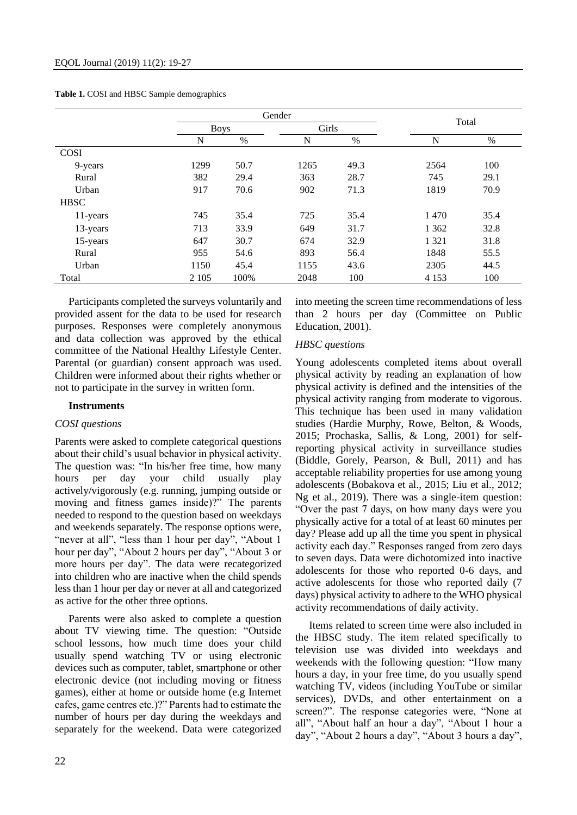|             |             | Gender |       |      |         |      |  |  |  |
|-------------|-------------|--------|-------|------|---------|------|--|--|--|
|             | <b>Boys</b> |        | Girls |      | Total   |      |  |  |  |
|             | N           | %      | N     | $\%$ | N       | $\%$ |  |  |  |
| <b>COSI</b> |             |        |       |      |         |      |  |  |  |
| 9-years     | 1299        | 50.7   | 1265  | 49.3 | 2564    | 100  |  |  |  |
| Rural       | 382         | 29.4   | 363   | 28.7 | 745     | 29.1 |  |  |  |
| Urban       | 917         | 70.6   | 902   | 71.3 | 1819    | 70.9 |  |  |  |
| <b>HBSC</b> |             |        |       |      |         |      |  |  |  |
| 11-years    | 745         | 35.4   | 725   | 35.4 | 1470    | 35.4 |  |  |  |
| 13-years    | 713         | 33.9   | 649   | 31.7 | 1 3 6 2 | 32.8 |  |  |  |
| 15-years    | 647         | 30.7   | 674   | 32.9 | 1 3 2 1 | 31.8 |  |  |  |
| Rural       | 955         | 54.6   | 893   | 56.4 | 1848    | 55.5 |  |  |  |
| Urban       | 1150        | 45.4   | 1155  | 43.6 | 2305    | 44.5 |  |  |  |
| Total       | 2 1 0 5     | 100%   | 2048  | 100  | 4 1 5 3 | 100  |  |  |  |

**Table 1.** COSI and HBSC Sample demographics

Participants completed the surveys voluntarily and provided assent for the data to be used for research purposes. Responses were completely anonymous and data collection was approved by the ethical committee of the National Healthy Lifestyle Center. Parental (or guardian) consent approach was used. Children were informed about their rights whether or not to participate in the survey in written form.

#### **Instruments**

#### *COSI questions*

Parents were asked to complete categorical questions about their child's usual behavior in physical activity. The question was: "In his/her free time, how many hours per day your child usually play actively/vigorously (e.g. running, jumping outside or moving and fitness games inside)?" The parents needed to respond to the question based on weekdays and weekends separately. The response options were, "never at all", "less than 1 hour per day", "About 1 hour per day", "About 2 hours per day", "About 3 or more hours per day". The data were recategorized into children who are inactive when the child spends less than 1 hour per day or never at all and categorized as active for the other three options.

Parents were also asked to complete a question about TV viewing time. The question: "Outside school lessons, how much time does your child usually spend watching TV or using electronic devices such as computer, tablet, smartphone or other electronic device (not including moving or fitness games), either at home or outside home (e.g Internet cafes, game centres etc.)?" Parents had to estimate the number of hours per day during the weekdays and separately for the weekend. Data were categorized into meeting the screen time recommendations of less than 2 hours per day (Committee on Public Education, 2001).

#### *HBSC questions*

Young adolescents completed items about overall physical activity by reading an explanation of how physical activity is defined and the intensities of the physical activity ranging from moderate to vigorous. This technique has been used in many validation studies (Hardie Murphy, Rowe, Belton, & Woods, 2015; Prochaska, Sallis, & Long, 2001) for selfreporting physical activity in surveillance studies (Biddle, Gorely, Pearson, & Bull, 2011) and has acceptable reliability properties for use among young adolescents (Bobakova et al., 2015; Liu et al., 2012; Ng et al., 2019). There was a single-item question: "Over the past 7 days, on how many days were you physically active for a total of at least 60 minutes per day? Please add up all the time you spent in physical activity each day." Responses ranged from zero days to seven days. Data were dichotomized into inactive adolescents for those who reported 0-6 days, and active adolescents for those who reported daily (7 days) physical activity to adhere to the WHO physical activity recommendations of daily activity.

Items related to screen time were also included in the HBSC study. The item related specifically to television use was divided into weekdays and weekends with the following question: "How many hours a day, in your free time, do you usually spend watching TV, videos (including YouTube or similar services), DVDs, and other entertainment on a screen?". The response categories were, "None at all", "About half an hour a day", "About 1 hour a day", "About 2 hours a day", "About 3 hours a day",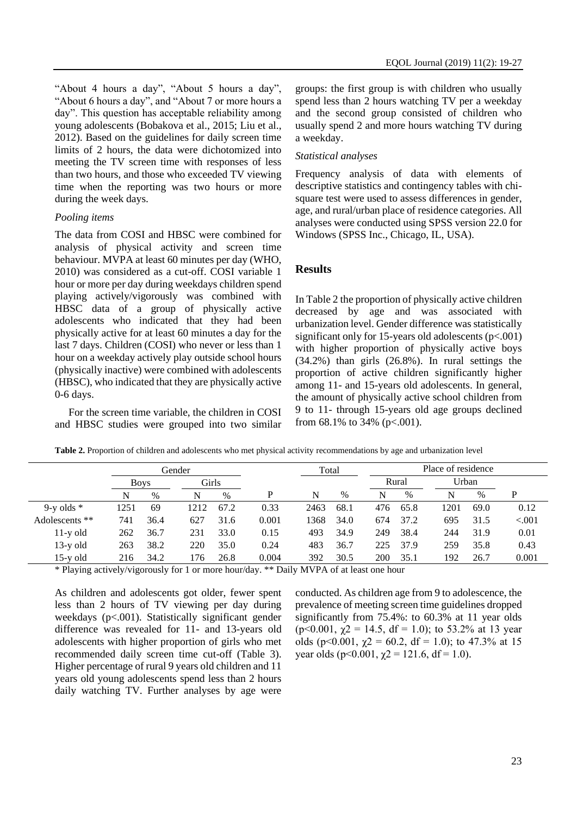"About 4 hours a day", "About 5 hours a day", "About 6 hours a day", and "About 7 or more hours a day". This question has acceptable reliability among young adolescents (Bobakova et al., 2015; Liu et al., 2012). Based on the guidelines for daily screen time limits of 2 hours, the data were dichotomized into meeting the TV screen time with responses of less than two hours, and those who exceeded TV viewing time when the reporting was two hours or more during the week days.

#### *Pooling items*

The data from COSI and HBSC were combined for analysis of physical activity and screen time behaviour. MVPA at least 60 minutes per day (WHO, 2010) was considered as a cut-off. COSI variable 1 hour or more per day during weekdays children spend playing actively/vigorously was combined with HBSC data of a group of physically active adolescents who indicated that they had been physically active for at least 60 minutes a day for the last 7 days. Children (COSI) who never or less than 1 hour on a weekday actively play outside school hours (physically inactive) were combined with adolescents (HBSC), who indicated that they are physically active 0-6 days.

For the screen time variable, the children in COSI and HBSC studies were grouped into two similar

groups: the first group is with children who usually spend less than 2 hours watching TV per a weekday and the second group consisted of children who usually spend 2 and more hours watching TV during a weekday.

#### *Statistical analyses*

Frequency analysis of data with elements of descriptive statistics and contingency tables with chisquare test were used to assess differences in gender, age, and rural/urban place of residence categories. All analyses were conducted using SPSS version 22.0 for Windows (SPSS Inc., Chicago, IL, USA).

### **Results**

In Table 2 the proportion of physically active children decreased by age and was associated with urbanization level. Gender difference was statistically significant only for 15-years old adolescents  $(p<.001)$ with higher proportion of physically active boys (34.2%) than girls (26.8%). In rural settings the proportion of active children significantly higher among 11- and 15-years old adolescents. In general, the amount of physically active school children from 9 to 11- through 15-years old age groups declined from  $68.1\%$  to  $34\%$  (p<.001).

|                | Gender      |      |       |      |       | Total |      | Place of residence |       |      |       |          |
|----------------|-------------|------|-------|------|-------|-------|------|--------------------|-------|------|-------|----------|
|                | <b>Boys</b> |      | Girls |      |       |       |      |                    | Rural |      | Urban |          |
|                | N           | $\%$ | N     | $\%$ | P     | N     | $\%$ | N                  | $\%$  | N    | $\%$  | P        |
| 9-y olds $*$   | 1251        | 69   | 1212  | 67.2 | 0.33  | 2463  | 68.1 | 476                | 65.8  | 1201 | 69.0  | 0.12     |
| Adolescents ** | 741         | 36.4 | 627   | 31.6 | 0.001 | 1368  | 34.0 | 674                | 37.2  | 695  | 31.5  | ${<}001$ |
| $11-y$ old     | 262         | 36.7 | 231   | 33.0 | 0.15  | 493   | 34.9 | 249                | 38.4  | 244  | 31.9  | 0.01     |
| $13-y$ old     | 263         | 38.2 | 220   | 35.0 | 0.24  | 483   | 36.7 | 225                | 37.9  | 259  | 35.8  | 0.43     |
| $15-y$ old     | 216         | 34.2 | 176   | 26.8 | 0.004 | 392   | 30.5 | 200                | 35.1  | 192  | 26.7  | 0.001    |

**Table 2.** Proportion of children and adolescents who met physical activity recommendations by age and urbanization level

\* Playing actively/vigorously for 1 or more hour/day. \*\* Daily MVPA of at least one hour

As children and adolescents got older, fewer spent less than 2 hours of TV viewing per day during weekdays (p<.001). Statistically significant gender difference was revealed for 11- and 13-years old adolescents with higher proportion of girls who met recommended daily screen time cut-off (Table 3). Higher percentage of rural 9 years old children and 11 years old young adolescents spend less than 2 hours daily watching TV. Further analyses by age were conducted. As children age from 9 to adolescence, the prevalence of meeting screen time guidelines dropped significantly from 75.4%: to 60.3% at 11 year olds (p<0.001,  $\gamma$ 2 = 14.5, df = 1.0); to 53.2% at 13 year olds (p<0.001,  $\gamma$ 2 = 60.2, df = 1.0); to 47.3% at 15 year olds (p<0.001,  $\gamma$ 2 = 121.6, df = 1.0).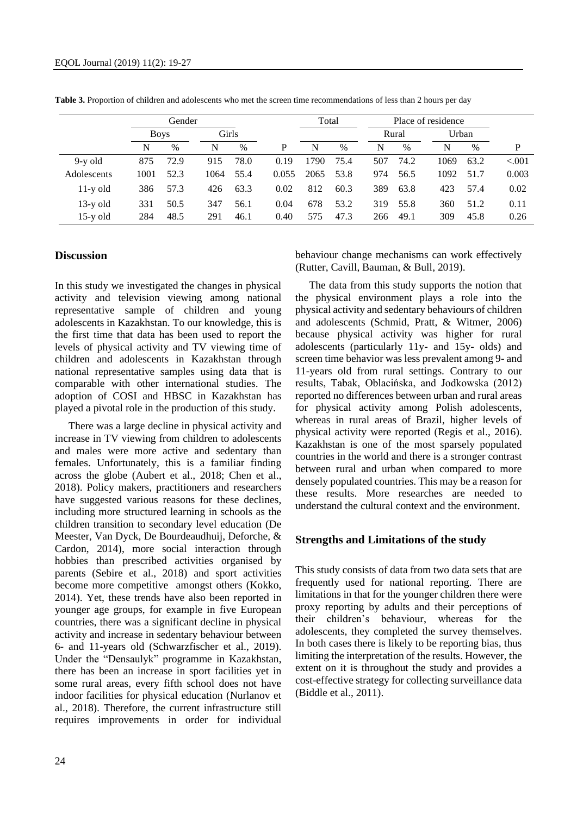|             | Gender      |               |       |      |       |       | Total |     | Place of residence |      |       |          |
|-------------|-------------|---------------|-------|------|-------|-------|-------|-----|--------------------|------|-------|----------|
|             | <b>Boys</b> |               | Girls |      |       |       |       |     | Rural              |      | Urban |          |
|             | N           | $\frac{0}{0}$ | N     | $\%$ | P     | N     | $\%$  | N   | $\%$               | N    | $\%$  | P        |
| $9-y$ old   | 875         | 72.9          | 915   | 78.0 | 0.19  | 1790. | 75.4  | 507 | 74.2               | 1069 | 63.2  | ${<}001$ |
| Adolescents | 1001        | 52.3          | 1064  | 55.4 | 0.055 | 2065  | 53.8  | 974 | 56.5               | 1092 | 51.7  | 0.003    |
| $11-y$ old  | 386         | 57.3          | 426   | 63.3 | 0.02  | 812   | 60.3  | 389 | 63.8               | 423  | 57.4  | 0.02     |
| $13-y$ old  | 331         | 50.5          | 347   | 56.1 | 0.04  | 678   | 53.2  | 319 | 55.8               | 360  | 51.2  | 0.11     |
| $15-y$ old  | 284         | 48.5          | 291   | 46.1 | 0.40  | 575   | 47.3  | 266 | 49.1               | 309  | 45.8  | 0.26     |

**Table 3.** Proportion of children and adolescents who met the screen time recommendations of less than 2 hours per day

#### **Discussion**

In this study we investigated the changes in physical activity and television viewing among national representative sample of children and young adolescents in Kazakhstan. To our knowledge, this is the first time that data has been used to report the levels of physical activity and TV viewing time of children and adolescents in Kazakhstan through national representative samples using data that is comparable with other international studies. The adoption of COSI and HBSC in Kazakhstan has played a pivotal role in the production of this study.

There was a large decline in physical activity and increase in TV viewing from children to adolescents and males were more active and sedentary than females. Unfortunately, this is a familiar finding across the globe (Aubert et al., 2018; Chen et al., 2018). Policy makers, practitioners and researchers have suggested various reasons for these declines, including more structured learning in schools as the children transition to secondary level education (De Meester, Van Dyck, De Bourdeaudhuij, Deforche, & Cardon, 2014), more social interaction through hobbies than prescribed activities organised by parents (Sebire et al., 2018) and sport activities become more competitive amongst others (Kokko, 2014). Yet, these trends have also been reported in younger age groups, for example in five European countries, there was a significant decline in physical activity and increase in sedentary behaviour between 6- and 11-years old (Schwarzfischer et al., 2019). Under the "Densaulyk" programme in Kazakhstan, there has been an increase in sport facilities yet in some rural areas, every fifth school does not have indoor facilities for physical education (Nurlanov et al., 2018). Therefore, the current infrastructure still requires improvements in order for individual

behaviour change mechanisms can work effectively (Rutter, Cavill, Bauman, & Bull, 2019).

The data from this study supports the notion that the physical environment plays a role into the physical activity and sedentary behaviours of children and adolescents (Schmid, Pratt, & Witmer, 2006) because physical activity was higher for rural adolescents (particularly 11y- and 15y- olds) and screen time behavior was less prevalent among 9- and 11-years old from rural settings. Contrary to our results, Tabak, Oblacińska, and Jodkowska (2012) reported no differences between urban and rural areas for physical activity among Polish adolescents, whereas in rural areas of Brazil, higher levels of physical activity were reported (Regis et al., 2016). Kazakhstan is one of the most sparsely populated countries in the world and there is a stronger contrast between rural and urban when compared to more densely populated countries. This may be a reason for these results. More researches are needed to understand the cultural context and the environment.

#### **Strengths and Limitations of the study**

This study consists of data from two data sets that are frequently used for national reporting. There are limitations in that for the younger children there were proxy reporting by adults and their perceptions of their children's behaviour, whereas for the adolescents, they completed the survey themselves. In both cases there is likely to be reporting bias, thus limiting the interpretation of the results. However, the extent on it is throughout the study and provides a cost-effective strategy for collecting surveillance data (Biddle et al., 2011).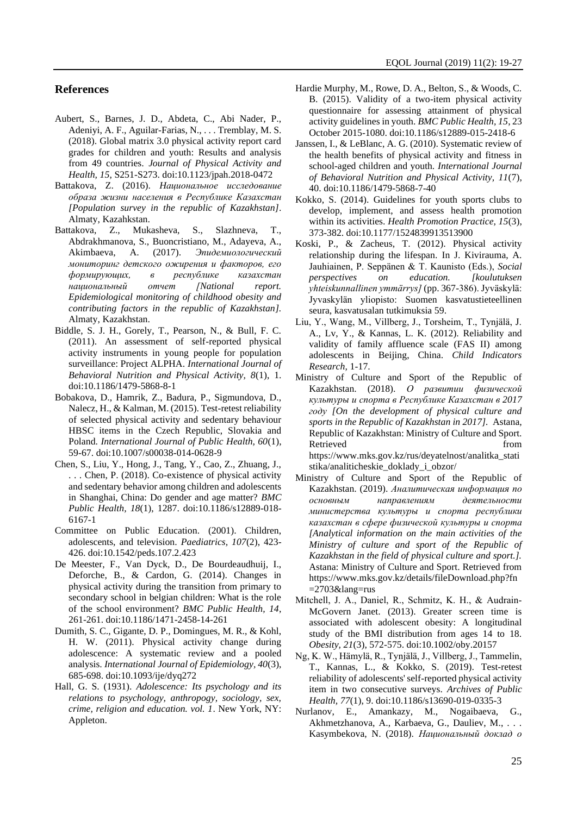#### **References**

- Aubert, S., Barnes, J. D., Abdeta, C., Abi Nader, P., Adeniyi, A. F., Aguilar-Farias, N., . . . Tremblay, M. S. (2018). Global matrix 3.0 physical activity report card grades for children and youth: Results and analysis from 49 countries. *Journal of Physical Activity and Health, 15*, S251-S273. doi:10.1123/jpah.2018-0472
- Battakova, Z. (2016). *Hациональное исследование образа жизни населения в Республике Казахстан [Population survey in the republic of Kazakhstan]*. Almaty, Kazahkstan.
- Battakova, Z., Mukasheva, S., Slazhneva, T., Abdrakhmanova, S., Buoncristiano, M., Adayeva, A., Akimbaeva, A. (2017). *Эпидемиологический мониторинг детского ожирения и факторов, его формирующих, в республике казахстан национальный отчет [National report. Epidemiological monitoring of childhood obesity and contributing factors in the republic of Kazakhstan].*  Almaty, Kazakhstan.
- Biddle, S. J. H., Gorely, T., Pearson, N., & Bull, F. C. (2011). An assessment of self-reported physical activity instruments in young people for population surveillance: Project ALPHA. *International Journal of Behavioral Nutrition and Physical Activity, 8*(1), 1. doi:10.1186/1479-5868-8-1
- Bobakova, D., Hamrik, Z., Badura, P., Sigmundova, D., Nalecz, H., & Kalman, M. (2015). Test-retest reliability of selected physical activity and sedentary behaviour HBSC items in the Czech Republic, Slovakia and Poland. *International Journal of Public Health, 60*(1), 59-67. doi:10.1007/s00038-014-0628-9
- Chen, S., Liu, Y., Hong, J., Tang, Y., Cao, Z., Zhuang, J., . . . Chen, P. (2018). Co-existence of physical activity and sedentary behavior among children and adolescents in Shanghai, China: Do gender and age matter? *BMC Public Health, 18*(1), 1287. doi:10.1186/s12889-018- 6167-1
- Committee on Public Education. (2001). Children, adolescents, and television. *Paediatrics, 107*(2), 423- 426. doi:10.1542/peds.107.2.423
- De Meester, F., Van Dyck, D., De Bourdeaudhuij, I., Deforche, B., & Cardon, G. (2014). Changes in physical activity during the transition from primary to secondary school in belgian children: What is the role of the school environment? *BMC Public Health, 14*, 261-261. doi:10.1186/1471-2458-14-261
- Dumith, S. C., Gigante, D. P., Domingues, M. R., & Kohl, H. W. (2011). Physical activity change during adolescence: A systematic review and a pooled analysis. *International Journal of Epidemiology, 40*(3), 685-698. doi:10.1093/ije/dyq272
- Hall, G. S. (1931). *Adolescence: Its psychology and its relations to psychology, anthropogy, sociology, sex, crime, religion and education. vol. 1*. New York, NY: Appleton.
- Hardie Murphy, M., Rowe, D. A., Belton, S., & Woods, C. B. (2015). Validity of a two-item physical activity questionnaire for assessing attainment of physical activity guidelines in youth. *BMC Public Health, 15*, 23 October 2015-1080. doi:10.1186/s12889-015-2418-6
- Janssen, I., & LeBlanc, A. G. (2010). Systematic review of the health benefits of physical activity and fitness in school-aged children and youth. *International Journal of Behavioral Nutrition and Physical Activity, 11*(7), 40. doi:10.1186/1479-5868-7-40
- Kokko, S. (2014). Guidelines for youth sports clubs to develop, implement, and assess health promotion within its activities. *Health Promotion Practice, 15*(3), 373-382. doi:10.1177/1524839913513900
- Koski, P., & Zacheus, T. (2012). Physical activity relationship during the lifespan. In J. Kivirauma, A. Jauhiainen, P. Seppänen & T. Kaunisto (Eds.), *Social perspectives on education. [koulutuksen yhteiskunnallinen ymmärrys]* (pp. 367-386). Jyväskylä: Jyvaskylän yliopisto: Suomen kasvatustieteellinen seura, kasvatusalan tutkimuksia 59.
- Liu, Y., Wang, M., Villberg, J., Torsheim, T., Tynjälä, J. A., Lv, Y., & Kannas, L. K. (2012). Reliability and validity of family affluence scale (FAS II) among adolescents in Beijing, China. *Child Indicators Research,* 1-17.
- Ministry of Culture and Sport of the Republic of Kazakhstan. (2018). *О развитии физической культуры и спорта в Республике Казахстан в 2017 году [On the development of physical culture and sports in the Republic of Kazakhstan in 2017].* Astana, Republic of Kazakhstan: Ministry of Culture and Sport. Retrieved from the state of  $\sim$ https://www.mks.gov.kz/rus/deyatelnost/analitka\_stati stika/analiticheskie\_doklady\_i\_obzor/
- Ministry of Culture and Sport of the Republic of Kazakhstan. (2019). *Аналитическая информация по основным направлениям деятельности министерства культуры и спорта республики казахстан в сфере физической культуры и спорта [Analytical information on the main activities of the Ministry of culture and sport of the Republic of Kazakhstan in the field of physical culture and sport.].* Astana: Ministry of Culture and Sport. Retrieved from https://www.mks.gov.kz/details/fileDownload.php?fn  $=$ 2703&lang=rus
- Mitchell, J. A., Daniel, R., Schmitz, K. H., & Audrain‐ McGovern Janet. (2013). Greater screen time is associated with adolescent obesity: A longitudinal study of the BMI distribution from ages 14 to 18. *Obesity, 21*(3), 572-575. doi:10.1002/oby.20157
- Ng, K. W., Hämylä, R., Tynjälä, J., Villberg, J., Tammelin, T., Kannas, L., & Kokko, S. (2019). Test-retest reliability of adolescents' self-reported physical activity item in two consecutive surveys. *Archives of Public Health, 77*(1), 9. doi:10.1186/s13690-019-0335-3
- Nurlanov, E., Amankazy, M., Nogaibaeva, G., Akhmetzhanova, A., Karbaeva, G., Dauliev, M., . . . Kasymbekova, N. (2018). *Национальный доклад о*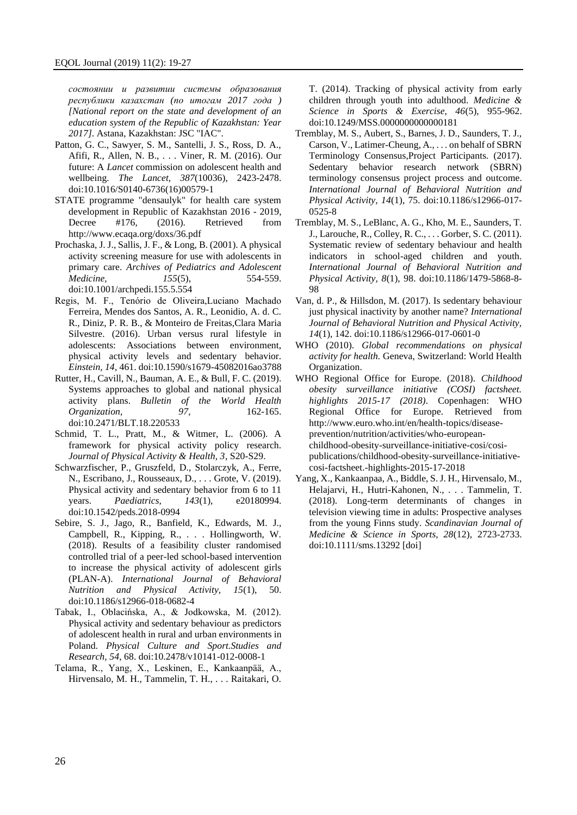*состоянии и развитии системы образования республики казахстан (по итогам 2017 года ) [National report on the state and development of an education system of the Republic of Kazakhstan: Year 2017]*. Astana, Kazakhstan: JSC "IAC".

- Patton, G. C., Sawyer, S. M., Santelli, J. S., Ross, D. A., Afifi, R., Allen, N. B., . . . Viner, R. M. (2016). Our future: A *Lancet* commission on adolescent health and wellbeing. *The Lancet, 387*(10036), 2423-2478. doi:10.1016/S0140-6736(16)00579-1
- STATE programme "densaulyk" for health care system development in Republic of Kazakhstan 2016 - 2019, Decree #176, (2016). Retrieved from http://www.ecaqa.org/doxs/36.pdf
- Prochaska, J. J., Sallis, J. F., & Long, B. (2001). A physical activity screening measure for use with adolescents in primary care. *Archives of Pediatrics and Adolescent Medicine, 155*(5), 554-559. doi:10.1001/archpedi.155.5.554
- Regis, M. F., Tenório de Oliveira,Luciano Machado Ferreira, Mendes dos Santos, A. R., Leonidio, A. d. C. R., Diniz, P. R. B., & Monteiro de Freitas,Clara Maria Silvestre. (2016). Urban versus rural lifestyle in adolescents: Associations between environment, physical activity levels and sedentary behavior. *Einstein, 14*, 461. doi:10.1590/s1679-45082016ao3788
- Rutter, H., Cavill, N., Bauman, A. E., & Bull, F. C. (2019). Systems approaches to global and national physical activity plans. *Bulletin of the World Health Organization, 97*, 162-165. doi:10.2471/BLT.18.220533
- Schmid, T. L., Pratt, M., & Witmer, L. (2006). A framework for physical activity policy research. *Journal of Physical Activity & Health, 3*, S20-S29.
- Schwarzfischer, P., Gruszfeld, D., Stolarczyk, A., Ferre, N., Escribano, J., Rousseaux, D., . . . Grote, V. (2019). Physical activity and sedentary behavior from 6 to 11 years. *Paediatrics, 143*(1), e20180994. doi:10.1542/peds.2018-0994
- Sebire, S. J., Jago, R., Banfield, K., Edwards, M. J., Campbell, R., Kipping, R., . . . Hollingworth, W. (2018). Results of a feasibility cluster randomised controlled trial of a peer-led school-based intervention to increase the physical activity of adolescent girls (PLAN-A). *International Journal of Behavioral Nutrition and Physical Activity, 15*(1), 50. doi:10.1186/s12966-018-0682-4
- Tabak, I., Oblacińska, A., & Jodkowska, M. (2012). Physical activity and sedentary behaviour as predictors of adolescent health in rural and urban environments in Poland. *Physical Culture and Sport.Studies and Research, 54*, 68. doi:10.2478/v10141-012-0008-1
- Telama, R., Yang, X., Leskinen, E., Kankaanpää, A., Hirvensalo, M. H., Tammelin, T. H., . . . Raitakari, O.

T. (2014). Tracking of physical activity from early children through youth into adulthood. *Medicine & Science in Sports & Exercise, 46*(5), 955-962. doi:10.1249/MSS.0000000000000181

- Tremblay, M. S., Aubert, S., Barnes, J. D., Saunders, T. J., Carson, V., Latimer-Cheung, A., . . . on behalf of SBRN Terminology Consensus,Project Participants. (2017). Sedentary behavior research network (SBRN) terminology consensus project process and outcome. *International Journal of Behavioral Nutrition and Physical Activity, 14*(1), 75. doi:10.1186/s12966-017- 0525-8
- Tremblay, M. S., LeBlanc, A. G., Kho, M. E., Saunders, T. J., Larouche, R., Colley, R. C., . . . Gorber, S. C. (2011). Systematic review of sedentary behaviour and health indicators in school-aged children and youth. *International Journal of Behavioral Nutrition and Physical Activity, 8*(1), 98. doi:10.1186/1479-5868-8- 98
- Van, d. P., & Hillsdon, M. (2017). Is sedentary behaviour just physical inactivity by another name? *International Journal of Behavioral Nutrition and Physical Activity, 14*(1), 142. doi:10.1186/s12966-017-0601-0
- WHO (2010). *Global recommendations on physical activity for health.* Geneva, Switzerland: World Health Organization.
- WHO Regional Office for Europe. (2018). *Childhood obesity surveillance initiative (COSI) factsheet. highlights 2015-17 (2018)*. Copenhagen: WHO Regional Office for Europe. Retrieved from http://www.euro.who.int/en/health-topics/diseaseprevention/nutrition/activities/who-europeanchildhood-obesity-surveillance-initiative-cosi/cosipublications/childhood-obesity-surveillance-initiativecosi-factsheet.-highlights-2015-17-2018
- Yang, X., Kankaanpaa, A., Biddle, S. J. H., Hirvensalo, M., Helajarvi, H., Hutri-Kahonen, N., . . . Tammelin, T. (2018). Long-term determinants of changes in television viewing time in adults: Prospective analyses from the young Finns study. *Scandinavian Journal of Medicine & Science in Sports, 28*(12), 2723-2733. doi:10.1111/sms.13292 [doi]